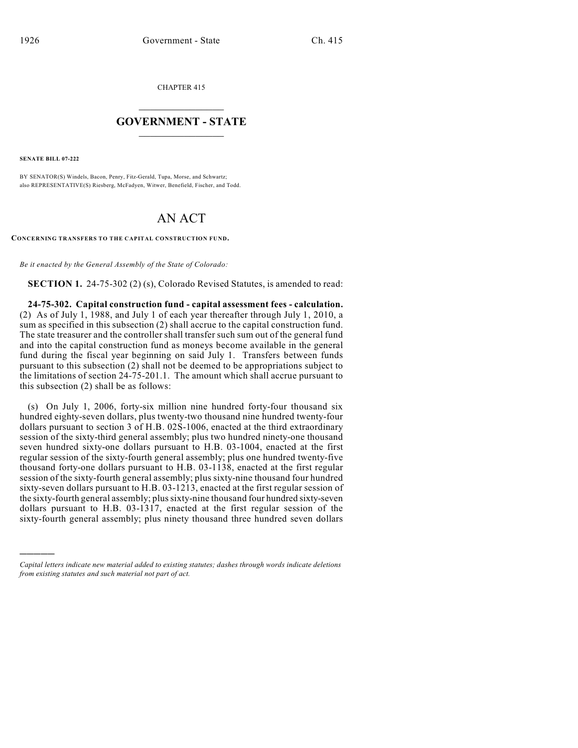CHAPTER 415

## $\mathcal{L}_\text{max}$  . The set of the set of the set of the set of the set of the set of the set of the set of the set of the set of the set of the set of the set of the set of the set of the set of the set of the set of the set **GOVERNMENT - STATE**  $\_$   $\_$   $\_$   $\_$   $\_$   $\_$   $\_$   $\_$

**SENATE BILL 07-222**

)))))

BY SENATOR(S) Windels, Bacon, Penry, Fitz-Gerald, Tupa, Morse, and Schwartz; also REPRESENTATIVE(S) Riesberg, McFadyen, Witwer, Benefield, Fischer, and Todd.

## AN ACT

**CONCERNING TRANSFERS TO THE CAPITAL CONSTRUCTION FUND.**

*Be it enacted by the General Assembly of the State of Colorado:*

**SECTION 1.** 24-75-302 (2) (s), Colorado Revised Statutes, is amended to read:

**24-75-302. Capital construction fund - capital assessment fees - calculation.** (2) As of July 1, 1988, and July 1 of each year thereafter through July 1, 2010, a sum as specified in this subsection (2) shall accrue to the capital construction fund. The state treasurer and the controller shall transfer such sum out of the general fund and into the capital construction fund as moneys become available in the general fund during the fiscal year beginning on said July 1. Transfers between funds pursuant to this subsection (2) shall not be deemed to be appropriations subject to the limitations of section 24-75-201.1. The amount which shall accrue pursuant to this subsection (2) shall be as follows:

(s) On July 1, 2006, forty-six million nine hundred forty-four thousand six hundred eighty-seven dollars, plus twenty-two thousand nine hundred twenty-four dollars pursuant to section 3 of H.B. 02S-1006, enacted at the third extraordinary session of the sixty-third general assembly; plus two hundred ninety-one thousand seven hundred sixty-one dollars pursuant to H.B. 03-1004, enacted at the first regular session of the sixty-fourth general assembly; plus one hundred twenty-five thousand forty-one dollars pursuant to H.B. 03-1138, enacted at the first regular session of the sixty-fourth general assembly; plus sixty-nine thousand four hundred sixty-seven dollars pursuant to H.B. 03-1213, enacted at the first regular session of the sixty-fourth general assembly; plus sixty-nine thousand four hundred sixty-seven dollars pursuant to H.B. 03-1317, enacted at the first regular session of the sixty-fourth general assembly; plus ninety thousand three hundred seven dollars

*Capital letters indicate new material added to existing statutes; dashes through words indicate deletions from existing statutes and such material not part of act.*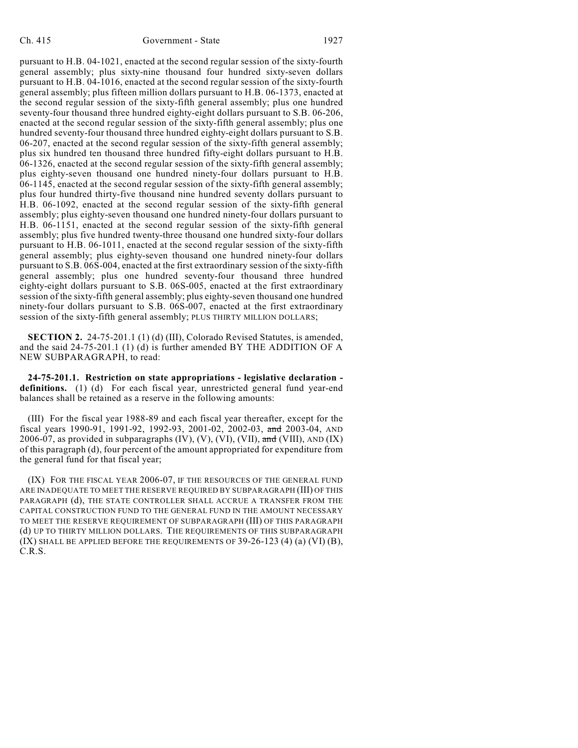pursuant to H.B. 04-1021, enacted at the second regular session of the sixty-fourth general assembly; plus sixty-nine thousand four hundred sixty-seven dollars pursuant to H.B. 04-1016, enacted at the second regular session of the sixty-fourth general assembly; plus fifteen million dollars pursuant to H.B. 06-1373, enacted at the second regular session of the sixty-fifth general assembly; plus one hundred seventy-four thousand three hundred eighty-eight dollars pursuant to S.B. 06-206, enacted at the second regular session of the sixty-fifth general assembly; plus one hundred seventy-four thousand three hundred eighty-eight dollars pursuant to S.B. 06-207, enacted at the second regular session of the sixty-fifth general assembly; plus six hundred ten thousand three hundred fifty-eight dollars pursuant to H.B. 06-1326, enacted at the second regular session of the sixty-fifth general assembly; plus eighty-seven thousand one hundred ninety-four dollars pursuant to H.B. 06-1145, enacted at the second regular session of the sixty-fifth general assembly; plus four hundred thirty-five thousand nine hundred seventy dollars pursuant to H.B. 06-1092, enacted at the second regular session of the sixty-fifth general assembly; plus eighty-seven thousand one hundred ninety-four dollars pursuant to H.B. 06-1151, enacted at the second regular session of the sixty-fifth general assembly; plus five hundred twenty-three thousand one hundred sixty-four dollars pursuant to H.B. 06-1011, enacted at the second regular session of the sixty-fifth general assembly; plus eighty-seven thousand one hundred ninety-four dollars pursuant to S.B. 06S-004, enacted at the first extraordinary session of the sixty-fifth general assembly; plus one hundred seventy-four thousand three hundred eighty-eight dollars pursuant to S.B. 06S-005, enacted at the first extraordinary session of the sixty-fifth general assembly; plus eighty-seven thousand one hundred ninety-four dollars pursuant to S.B. 06S-007, enacted at the first extraordinary session of the sixty-fifth general assembly; PLUS THIRTY MILLION DOLLARS;

**SECTION 2.** 24-75-201.1 (1) (d) (III), Colorado Revised Statutes, is amended, and the said 24-75-201.1 (1) (d) is further amended BY THE ADDITION OF A NEW SUBPARAGRAPH, to read:

**24-75-201.1. Restriction on state appropriations - legislative declaration definitions.** (1) (d) For each fiscal year, unrestricted general fund year-end balances shall be retained as a reserve in the following amounts:

(III) For the fiscal year 1988-89 and each fiscal year thereafter, except for the fiscal years 1990-91, 1991-92, 1992-93, 2001-02, 2002-03, and 2003-04, AND 2006-07, as provided in subparagraphs  $(IV)$ ,  $(V)$ ,  $(VI)$ ,  $(VII)$ ,  $\overline{\text{and}}$   $(VIII)$ ,  $AND (IX)$ of this paragraph (d), four percent of the amount appropriated for expenditure from the general fund for that fiscal year;

(IX) FOR THE FISCAL YEAR 2006-07, IF THE RESOURCES OF THE GENERAL FUND ARE INADEQUATE TO MEET THE RESERVE REQUIRED BY SUBPARAGRAPH (III) OF THIS PARAGRAPH (d), THE STATE CONTROLLER SHALL ACCRUE A TRANSFER FROM THE CAPITAL CONSTRUCTION FUND TO THE GENERAL FUND IN THE AMOUNT NECESSARY TO MEET THE RESERVE REQUIREMENT OF SUBPARAGRAPH (III) OF THIS PARAGRAPH (d) UP TO THIRTY MILLION DOLLARS. THE REQUIREMENTS OF THIS SUBPARAGRAPH (IX) SHALL BE APPLIED BEFORE THE REQUIREMENTS OF 39-26-123 (4) (a) (VI) (B), C.R.S.